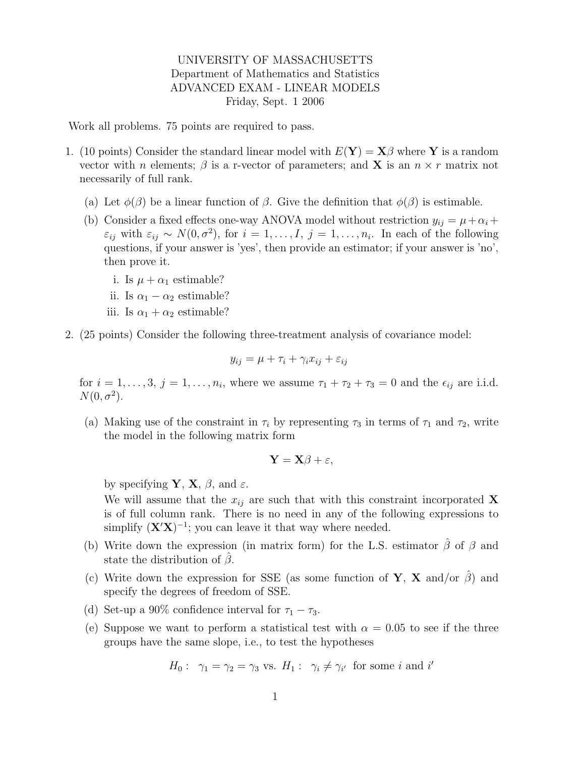## UNIVERSITY OF MASSACHUSETTS Department of Mathematics and Statistics ADVANCED EXAM - LINEAR MODELS Friday, Sept. 1 2006

Work all problems. 75 points are required to pass.

- 1. (10 points) Consider the standard linear model with  $E(Y) = X\beta$  where Y is a random vector with n elements;  $\beta$  is a r-vector of parameters; and **X** is an  $n \times r$  matrix not necessarily of full rank.
	- (a) Let  $\phi(\beta)$  be a linear function of  $\beta$ . Give the definition that  $\phi(\beta)$  is estimable.
	- (b) Consider a fixed effects one-way ANOVA model without restriction  $y_{ij} = \mu + \alpha_i + \alpha_j$  $\varepsilon_{ij}$  with  $\varepsilon_{ij} \sim N(0, \sigma^2)$ , for  $i = 1, \ldots, I, j = 1, \ldots, n_i$ . In each of the following questions, if your answer is 'yes', then provide an estimator; if your answer is 'no', then prove it.
		- i. Is  $\mu + \alpha_1$  estimable?
		- ii. Is  $\alpha_1 \alpha_2$  estimable?
		- iii. Is  $\alpha_1 + \alpha_2$  estimable?
- 2. (25 points) Consider the following three-treatment analysis of covariance model:

$$
y_{ij} = \mu + \tau_i + \gamma_i x_{ij} + \varepsilon_{ij}
$$

for  $i = 1, \ldots, 3, j = 1, \ldots, n_i$ , where we assume  $\tau_1 + \tau_2 + \tau_3 = 0$  and the  $\epsilon_{ij}$  are i.i.d.  $N(0, \sigma^2)$ .

(a) Making use of the constraint in  $\tau_i$  by representing  $\tau_3$  in terms of  $\tau_1$  and  $\tau_2$ , write the model in the following matrix form

$$
\mathbf{Y} = \mathbf{X}\boldsymbol{\beta} + \boldsymbol{\varepsilon},
$$

by specifying **Y**, **X**,  $\beta$ , and  $\varepsilon$ .

We will assume that the  $x_{ij}$  are such that with this constraint incorporated X is of full column rank. There is no need in any of the following expressions to simplify  $(X'X)^{-1}$ ; you can leave it that way where needed.

- (b) Write down the expression (in matrix form) for the L.S. estimator  $\hat{\beta}$  of  $\beta$  and state the distribution of  $\beta$ .
- (c) Write down the expression for SSE (as some function of Y, X and/or  $\beta$ ) and specify the degrees of freedom of SSE.
- (d) Set-up a 90% confidence interval for  $\tau_1 \tau_3$ .
- (e) Suppose we want to perform a statistical test with  $\alpha = 0.05$  to see if the three groups have the same slope, i.e., to test the hypotheses

$$
H_0: \ \gamma_1 = \gamma_2 = \gamma_3
$$
 vs.  $H_1: \ \gamma_i \neq \gamma_{i'}$  for some i and i'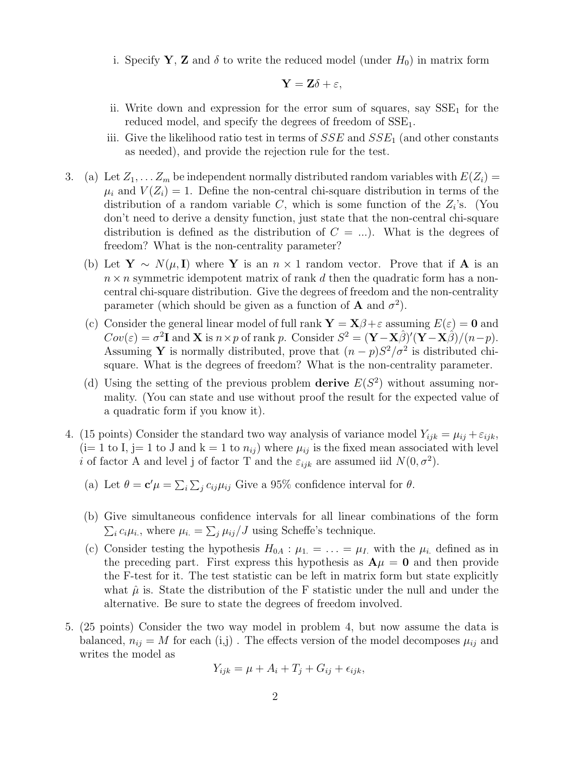i. Specify Y, Z and  $\delta$  to write the reduced model (under  $H_0$ ) in matrix form

$$
\mathbf{Y} = \mathbf{Z}\delta + \varepsilon,
$$

- ii. Write down and expression for the error sum of squares, say  $SSE<sub>1</sub>$  for the reduced model, and specify the degrees of freedom of  $SSE<sub>1</sub>$ .
- iii. Give the likelihood ratio test in terms of  $SSE$  and  $SSE<sub>1</sub>$  (and other constants as needed), and provide the rejection rule for the test.
- 3. (a) Let  $Z_1, \ldots, Z_m$  be independent normally distributed random variables with  $E(Z_i)$  $\mu_i$  and  $V(Z_i) = 1$ . Define the non-central chi-square distribution in terms of the distribution of a random variable  $C$ , which is some function of the  $Z_i$ 's. (You don't need to derive a density function, just state that the non-central chi-square distribution is defined as the distribution of  $C = ...$ ). What is the degrees of freedom? What is the non-centrality parameter?
	- (b) Let  $\mathbf{Y} \sim N(\mu, \mathbf{I})$  where Y is an  $n \times 1$  random vector. Prove that if A is an  $n \times n$  symmetric idempotent matrix of rank d then the quadratic form has a noncentral chi-square distribution. Give the degrees of freedom and the non-centrality parameter (which should be given as a function of **A** and  $\sigma^2$ ).
	- (c) Consider the general linear model of full rank  $\mathbf{Y} = \mathbf{X}\beta + \varepsilon$  assuming  $E(\varepsilon) = \mathbf{0}$  and  $Cov(\varepsilon) = \sigma^2 \mathbf{I}$  and **X** is  $n \times p$  of rank p. Consider  $S^2 = (\mathbf{Y} - \mathbf{X}\hat{\beta})'(\mathbf{Y} - \mathbf{X}\hat{\beta})/(n-p)$ . Assuming Y is normally distributed, prove that  $(n-p)S^2/\sigma^2$  is distributed chisquare. What is the degrees of freedom? What is the non-centrality parameter.
	- (d) Using the setting of the previous problem derive  $E(S^2)$  without assuming normality. (You can state and use without proof the result for the expected value of a quadratic form if you know it).
- 4. (15 points) Consider the standard two way analysis of variance model  $Y_{ijk} = \mu_{ij} + \varepsilon_{ijk}$ ,  $(i= 1 \text{ to } I, j= 1 \text{ to } J \text{ and } k=1 \text{ to } n_{ij})$  where  $\mu_{ij}$  is the fixed mean associated with level i of factor A and level j of factor T and the  $\varepsilon_{ijk}$  are assumed iid  $N(0, \sigma^2)$ .
	- (a) Let  $\theta = \mathbf{c}'\mu = \sum_i \sum_j c_{ij}\mu_{ij}$  Give a 95% confidence interval for  $\theta$ .
	- (b) Give simultaneous confidence intervals for all linear combinations of the form  $\sum_i c_i \mu_i$ , where  $\mu_i = \sum_j \mu_{ij}/J$  using Scheffe's technique.
	- (c) Consider testing the hypothesis  $H_{0A}$ :  $\mu_1 = \ldots = \mu_I$  with the  $\mu_i$  defined as in the preceding part. First express this hypothesis as  $A\mu = 0$  and then provide the F-test for it. The test statistic can be left in matrix form but state explicitly what  $\hat{\mu}$  is. State the distribution of the F statistic under the null and under the alternative. Be sure to state the degrees of freedom involved.
- 5. (25 points) Consider the two way model in problem 4, but now assume the data is balanced,  $n_{ij} = M$  for each (i,j). The effects version of the model decomposes  $\mu_{ij}$  and writes the model as

$$
Y_{ijk} = \mu + A_i + T_j + G_{ij} + \epsilon_{ijk},
$$